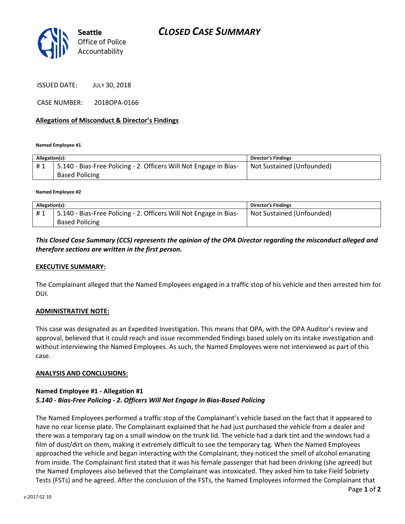

ISSUED DATE: JULY 30, 2018

CASE NUMBER: 2018OPA-0166

### Allegations of Misconduct & Director's Findings

Named Employee #1

| Allegation(s): |                                                                                            | <b>Director's Findings</b> |
|----------------|--------------------------------------------------------------------------------------------|----------------------------|
| #1             | 5.140 - Bias-Free Policing - 2. Officers Will Not Engage in Bias-<br><b>Based Policing</b> | Not Sustained (Unfounded)  |

Named Employee #2

| Allegation(s): |                                                                   | <b>Director's Findings</b> |
|----------------|-------------------------------------------------------------------|----------------------------|
| #1             | 5.140 - Bias-Free Policing - 2. Officers Will Not Engage in Bias- | Not Sustained (Unfounded)  |
|                | <b>Based Policing</b>                                             |                            |

This Closed Case Summary (CCS) represents the opinion of the OPA Director regarding the misconduct alleged and therefore sections are written in the first person.

#### EXECUTIVE SUMMARY:

The Complainant alleged that the Named Employees engaged in a traffic stop of his vehicle and then arrested him for DUI.

## ADMINISTRATIVE NOTE:

This case was designated as an Expedited Investigation. This means that OPA, with the OPA Auditor's review and approval, believed that it could reach and issue recommended findings based solely on its intake investigation and without interviewing the Named Employees. As such, the Named Employees were not interviewed as part of this case.

#### ANALYSIS AND CONCLUSIONS:

## Named Employee #1 - Allegation #1 5.140 - Bias-Free Policing - 2. Officers Will Not Engage in Bias-Based Policing

The Named Employees performed a traffic stop of the Complainant's vehicle based on the fact that it appeared to have no rear license plate. The Complainant explained that he had just purchased the vehicle from a dealer and there was a temporary tag on a small window on the trunk lid. The vehicle had a dark tint and the windows had a film of dust/dirt on them, making it extremely difficult to see the temporary tag. When the Named Employees approached the vehicle and began interacting with the Complainant, they noticed the smell of alcohol emanating from inside. The Complainant first stated that it was his female passenger that had been drinking (she agreed) but the Named Employees also believed that the Complainant was intoxicated. They asked him to take Field Sobriety Tests (FSTs) and he agreed. After the conclusion of the FSTs, the Named Employees informed the Complainant that